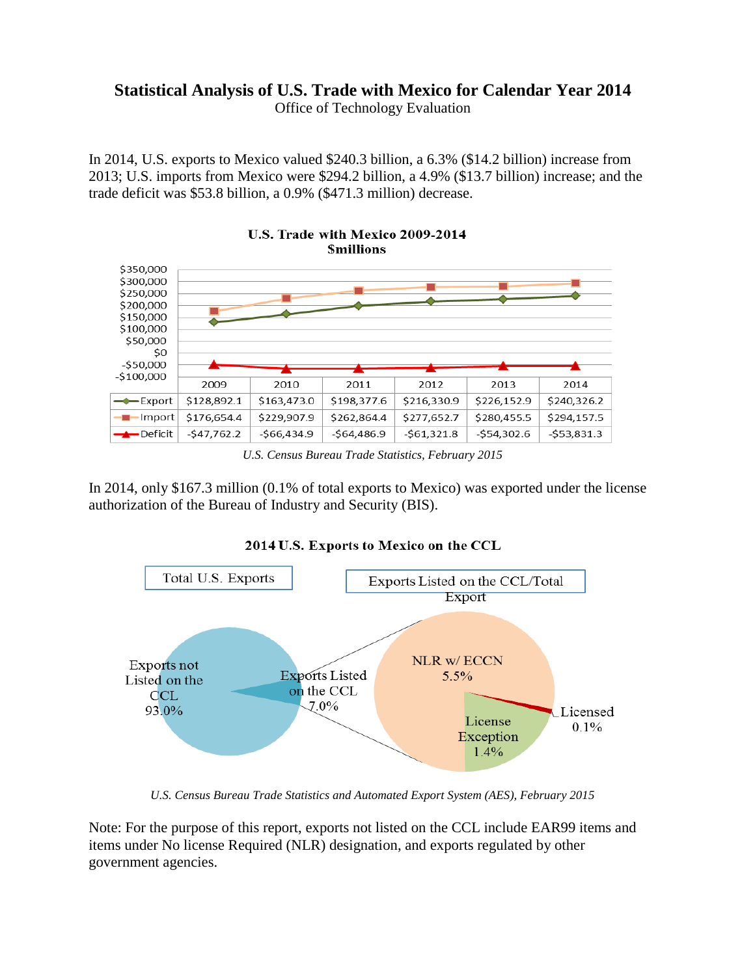# **Statistical Analysis of U.S. Trade with Mexico for Calendar Year 2014**

Office of Technology Evaluation

In 2014, U.S. exports to Mexico valued \$240.3 billion, a 6.3% (\$14.2 billion) increase from 2013; U.S. imports from Mexico were \$294.2 billion, a 4.9% (\$13.7 billion) increase; and the trade deficit was \$53.8 billion, a 0.9% (\$471.3 million) decrease.



U.S. Trade with Mexico 2009-2014 **Smillions** 

In 2014, only \$167.3 million (0.1% of total exports to Mexico) was exported under the license authorization of the Bureau of Industry and Security (BIS).



2014 U.S. Exports to Mexico on the CCL

*U.S. Census Bureau Trade Statistics and Automated Export System (AES), February 2015*

Note: For the purpose of this report, exports not listed on the CCL include EAR99 items and items under No license Required (NLR) designation, and exports regulated by other government agencies.

*U.S. Census Bureau Trade Statistics, February 2015*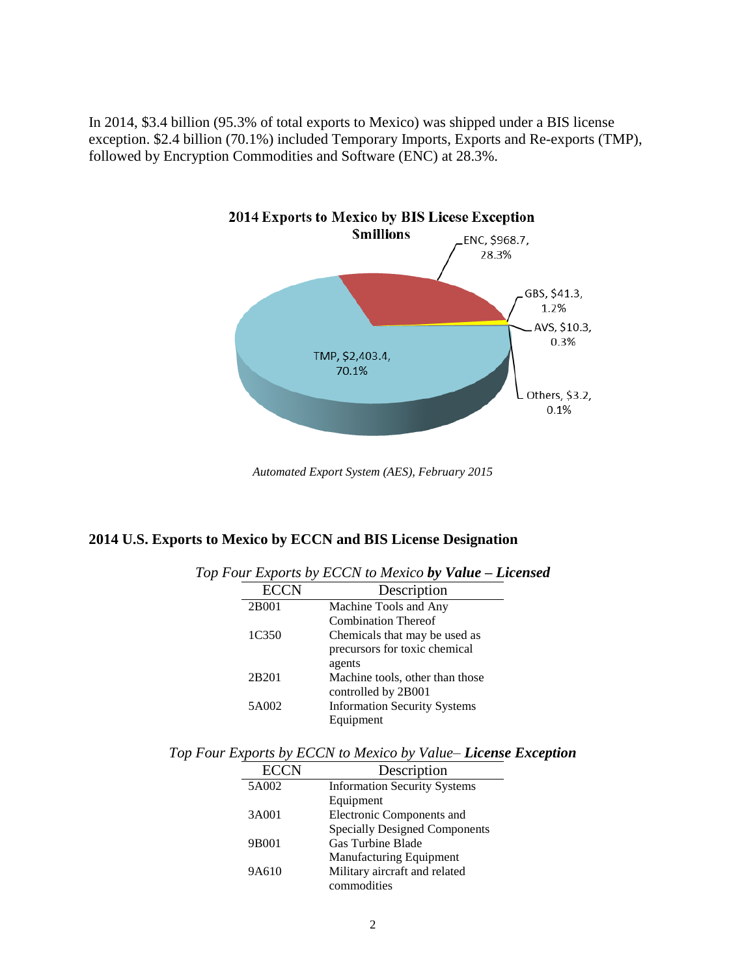In 2014, \$3.4 billion (95.3% of total exports to Mexico) was shipped under a BIS license exception. \$2.4 billion (70.1%) included Temporary Imports, Exports and Re-exports (TMP), followed by Encryption Commodities and Software (ENC) at 28.3%.



*Automated Export System (AES), February 2015*

#### **2014 U.S. Exports to Mexico by ECCN and BIS License Designation**

| $\cdots$ $\cdots$ $\cdots$ $\cdots$<br>$\sim$ 0.1, to 1.10.1.00 $\sim$ 7 |             |                                     |  |  |  |  |
|--------------------------------------------------------------------------|-------------|-------------------------------------|--|--|--|--|
|                                                                          | <b>ECCN</b> | Description                         |  |  |  |  |
|                                                                          | 2B001       | Machine Tools and Any               |  |  |  |  |
|                                                                          |             | <b>Combination Thereof</b>          |  |  |  |  |
|                                                                          | 1C350       | Chemicals that may be used as       |  |  |  |  |
|                                                                          |             | precursors for toxic chemical       |  |  |  |  |
|                                                                          |             | agents                              |  |  |  |  |
|                                                                          | 2B201       | Machine tools, other than those     |  |  |  |  |
|                                                                          |             | controlled by 2B001                 |  |  |  |  |
|                                                                          | 5A002       | <b>Information Security Systems</b> |  |  |  |  |
|                                                                          |             | Equipment                           |  |  |  |  |

*Top Four Exports by ECCN to Mexico by Value – Licensed*

*Top Four Exports by ECCN to Mexico by Value– License Exception*

| <b>ECCN</b> | Description                          |
|-------------|--------------------------------------|
| 5A002       | <b>Information Security Systems</b>  |
|             | Equipment                            |
| 3A001       | Electronic Components and            |
|             | <b>Specially Designed Components</b> |
| 9B001       | <b>Gas Turbine Blade</b>             |
|             | <b>Manufacturing Equipment</b>       |
| 9A610       | Military aircraft and related        |
|             | commodities                          |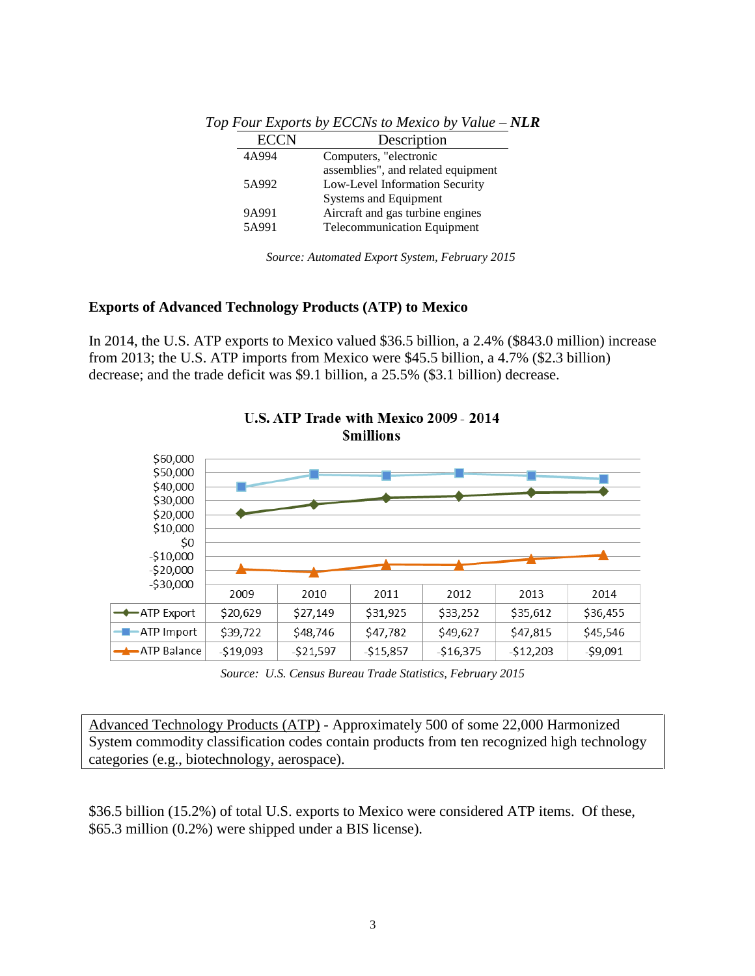| <b>ECCN</b> | Description                        |
|-------------|------------------------------------|
| 4A994       | Computers, "electronic             |
|             | assemblies", and related equipment |
| 5A992       | Low-Level Information Security     |
|             | <b>Systems and Equipment</b>       |
| 9A991       | Aircraft and gas turbine engines   |
| 5A991       | <b>Telecommunication Equipment</b> |
|             |                                    |

*Top Four Exports by ECCNs to Mexico by Value – NLR*

*Source: Automated Export System, February 2015*

### **Exports of Advanced Technology Products (ATP) to Mexico**

In 2014, the U.S. ATP exports to Mexico valued \$36.5 billion, a 2.4% (\$843.0 million) increase from 2013; the U.S. ATP imports from Mexico were \$45.5 billion, a 4.7% (\$2.3 billion) decrease; and the trade deficit was \$9.1 billion, a 25.5% (\$3.1 billion) decrease.



# U.S. ATP Trade with Mexico 2009 - 2014

*Source: U.S. Census Bureau Trade Statistics, February 2015*

Advanced Technology Products (ATP) - Approximately 500 of some 22,000 Harmonized System commodity classification codes contain products from ten recognized high technology categories (e.g., biotechnology, aerospace).

\$36.5 billion (15.2%) of total U.S. exports to Mexico were considered ATP items. Of these, \$65.3 million (0.2%) were shipped under a BIS license).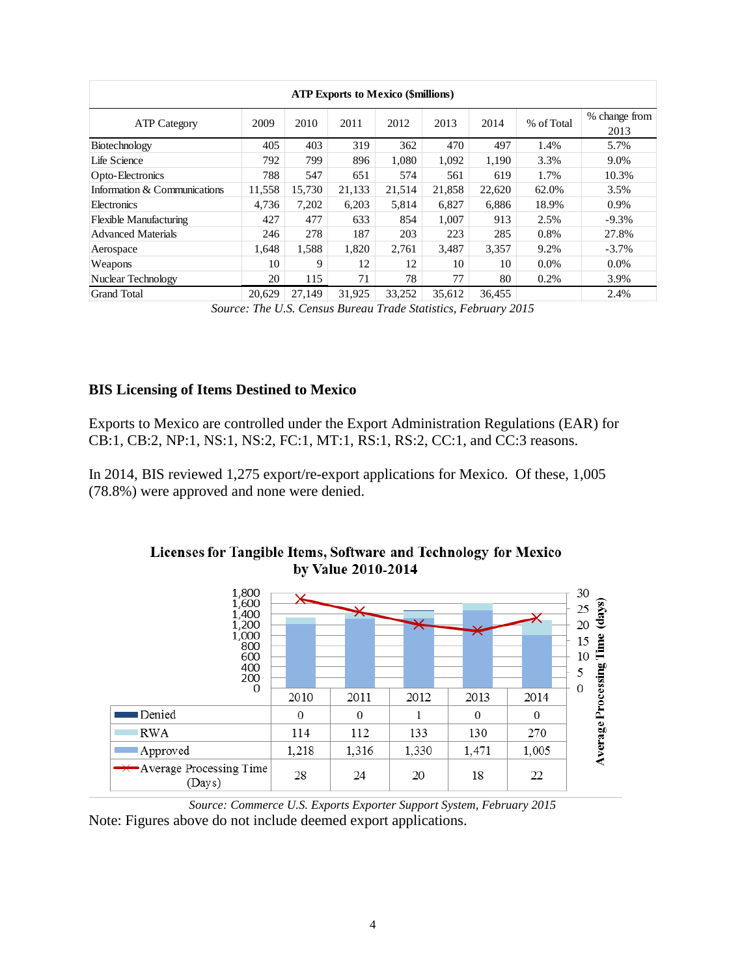| <b>ATP Exports to Mexico (\$millions)</b> |        |        |        |        |        |        |            |                       |
|-------------------------------------------|--------|--------|--------|--------|--------|--------|------------|-----------------------|
| <b>ATP Category</b>                       | 2009   | 2010   | 2011   | 2012   | 2013   | 2014   | % of Total | % change from<br>2013 |
| Biotechnology                             | 405    | 403    | 319    | 362    | 470    | 497    | 1.4%       | 5.7%                  |
| Life Science                              | 792    | 799    | 896    | 1.080  | 1,092  | 1,190  | 3.3%       | 9.0%                  |
| Opto-Electronics                          | 788    | 547    | 651    | 574    | 561    | 619    | 1.7%       | 10.3%                 |
| Information & Communications              | 11,558 | 15,730 | 21,133 | 21,514 | 21,858 | 22,620 | 62.0%      | 3.5%                  |
| Electronics                               | 4.736  | 7,202  | 6,203  | 5,814  | 6.827  | 6,886  | 18.9%      | 0.9%                  |
| <b>Flexible Manufacturing</b>             | 427    | 477    | 633    | 854    | 1,007  | 913    | 2.5%       | $-9.3%$               |
| <b>Advanced Materials</b>                 | 246    | 278    | 187    | 203    | 223    | 285    | 0.8%       | 27.8%                 |
| Aerospace                                 | 1.648  | 1,588  | 1,820  | 2,761  | 3,487  | 3,357  | 9.2%       | $-3.7\%$              |
| Weapons                                   | 10     | 9      | 12     | 12     | 10     | 10     | $0.0\%$    | $0.0\%$               |
| Nuclear Technology                        | 20     | 115    | 71     | 78     | 77     | 80     | 0.2%       | 3.9%                  |
| <b>Grand Total</b>                        | 20,629 | 27.149 | 31,925 | 33,252 | 35.612 | 36,455 |            | 2.4%                  |

*Source: The U.S. Census Bureau Trade Statistics, February 2015*

## **BIS Licensing of Items Destined to Mexico**

Exports to Mexico are controlled under the Export Administration Regulations (EAR) for CB:1, CB:2, NP:1, NS:1, NS:2, FC:1, MT:1, RS:1, RS:2, CC:1, and CC:3 reasons.

In 2014, BIS reviewed 1,275 export/re-export applications for Mexico. Of these, 1,005 (78.8%) were approved and none were denied.



## Licenses for Tangible Items, Software and Technology for Mexico by Value 2010-2014

*Source: Commerce U.S. Exports Exporter Support System, February 2015* Note: Figures above do not include deemed export applications.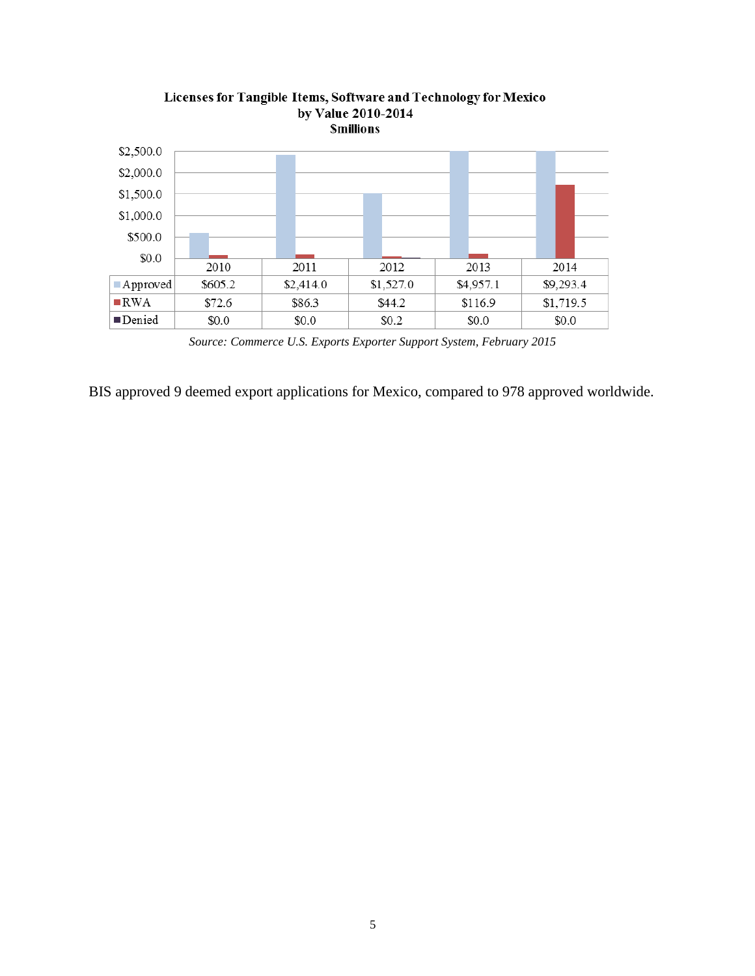

Licenses for Tangible Items, Software and Technology for Mexico by Value 2010-2014

BIS approved 9 deemed export applications for Mexico, compared to 978 approved worldwide.

*Source: Commerce U.S. Exports Exporter Support System, February 2015*